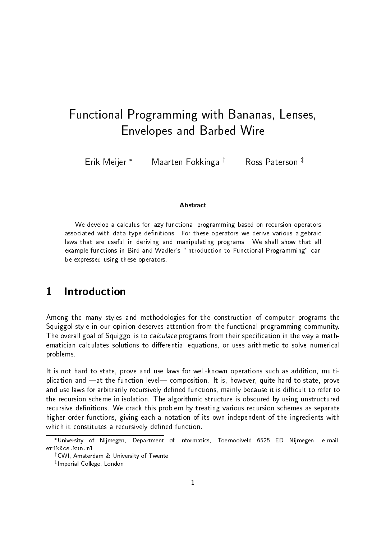# Functional Programming with Bananas- Lenses-Envelopes and Barbed Wire

Erik Meijer<sup>\*</sup> Maarten Fokkinga  $\dagger$  Ross Paterson  $\ddagger$ 

#### Abstract

We develop a calculus for lazy functional programming based on recursion operators associated with data type de-nitions For these operators we derive various algebraic laws that are useful in deriving and manipulating programs We shall show that all example functions in Bird and Wadlers Introduction to Functional Programming can be expressed using these operators

#### $\mathbf 1$ Introduction

Among the many styles and methodologies for the construction of computer programs the Squiggol style in our opinion deserves attention from the functional programming community-The overall goal of Squiggol is to *calculate* programs from their specification in the way a mathematician calculates solutions to differential equations, or uses arithmetic to solve numerical problems-

It is not hard to state, prove and use laws for well-known operations such as addition, multiplication and at the function-level composition- it is however quite hard to state prove and use laws for arbitrarily recursively defined functions, mainly because it is difficult to refer to the recursion scheme in isolation- The algorithmic structure is obscured by using unstructured recursive denitions- We crack this problem by treating various recursion schemes as separate higher order functions, giving each a notation of its own independent of the ingredients with which it constitutes a recursively defined function.

University of Nijmegen, Department of Informatics, Toernooiveld 6525 ED Nijmegen, e-mail:

UVI, Amsterdam & University of Twente

<sup>z</sup> Imperial College- London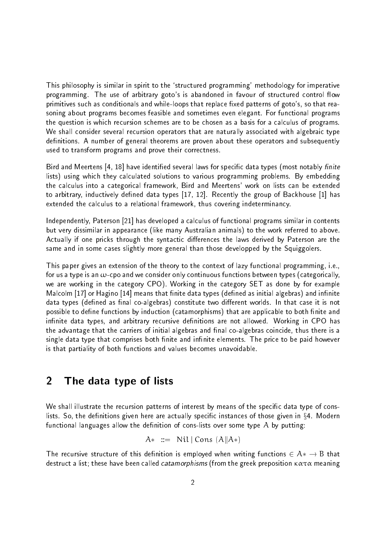This philosophy is similar in spirit to the structured programming methodology for imperative programming- The use of arbitrary gotos is abandoned in favour of structured control ow primitives such as conditionals and while-loops that replace fixed patterns of goto's, so that reasoning about programs becomes feasible and sometimes even elegant-left contention programs the question is which recursion schemes are to be chosen as a basis for a calculus of programs. We shall consider several recursion operators that are naturally associated with algebraic type denime theorems are proven and the proven about the subsequently are about the subsequently and subsequently a used to transform programs and prove their correctness.

Bird and Meertens 
 have identied several laws for specic data types most notably -nite lists using which they calculated solutions to various programming problems- By embedding the calculus into a categorical framework. Bird and Meertens' work on lists can be extended to arbitrary inductively denoted data types party and a group of Backhouse particles in the contract of Backhouse and extended the calculus to a relational framework, thus covering indeterminancy.

Independently, Paterson [21] has developed a calculus of functional programs similar in contents but very dissimilar in appearance (like many Australian animals) to the work referred to above. Actually if one pricks through the syntactic differences the laws derived by Paterson are the same and in some cases slightly more general than those developped by the Squiggolers.

This paper gives an extension of the theory to the context of lazy functional programming i-e for us a type is an  $\omega$ -cpo and we consider only continuous functions between types (categorically, we are working in the category CPO-category CPO-category CPO-category SET as done by for example, the category Malcolm [17] or Hagino [14] means that finite data types (defined as initial algebras) and infinite ata types (naditan as natural coalgebras) constitute that worlds-two dierent worlds-two dierent worldspossible to define functions by induction (catamorphisms) that are applicable to both finite and innite data types and arbitrary recursive denitions are not allowed- Working in CPO has the advantage that the carriers of initial algebras and final co-algebras coincide, thus there is a single data type that comprises both nite and innite elements- The price to be paid however is that partiality of both functions and values becomes unavoidable.

#### $\overline{2}$ The data type of lists

We shall illustrate the recursion patterns of interest by means of the specific data type of conslists- So the denitions given here are actually specic instances of those given in x- Modern functional languages allow the definition of cons-lists over some type  $A$  by putting:

$$
A* ::= Nil | Cons (A || A*)
$$

The recursive structure of this denition isemployed when writing functions <sup>A</sup>- <sup>B</sup> that destruct a list, alien catamorphisms from the greek press from the greek preposition - list in alien - list of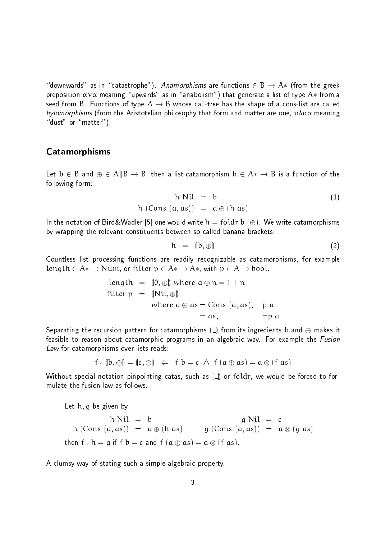downwards as in catastrophisms are functions are functions to a functions of the greek. The greek of the greek preposition meaning upwards as in anabolism that generate a list of type <sup>A</sup>- from a seed from B- Functions of type <sup>A</sup> <sup>B</sup> whose calltree has the shape of a conslist are called hylomorphisms (from the Aristotelian philosophy that form and matter are one,  $\nu\lambda$ oo meaning "dust" or "matter").

### Catamorphisms

Let <sup>b</sup> <sup>B</sup> and <sup>A</sup>kB B then a listcatamorphism <sup>h</sup> A- <sup>B</sup> is a function of the following form

$$
h Nil = b
$$
  
h (Cons (a, as)) = a  $\oplus$  (h as) (1)

in the notation of Birdwadler is a following write in the state of the state of the catamorphisms. by wrapping the relevant constituents between so called banana brackets

$$
h = (|b, \oplus) \tag{2}
$$

Countless list processing functions are readily recognizable as catamorphisms, for example length A-bool-filter p A-bool-filter p A-bool-filter p A-bool-filter p A-bool-filter p A-bool-filter p

length = 
$$
(0, \oplus)
$$
 where  $a \oplus n = 1 + n$   
filter  $p = (Nil, \oplus)$   
where  $a \oplus as = Cons (a, as), p a$   
 $= as, \qquad \neg p a$ 

Separating the recursion pattern for catamorphisms  $\llbracket \_ \rrbracket$  from its ingredients b and  $\oplus$  makes it feasible to reason about catamorphic programs in an algebraic way- For example the Fusion Law for catamorphisms over lists reads:

$$
f \circ [b, \oplus]
$$
 =  $[c, \otimes]$   $\Leftarrow$   $f b = c \land f (a \oplus as) = a \otimes (f as)$ 

Without special notation pinpointing catas, such as  $\|\_$  or foldr, we would be forced to formulate the fusion law as follows.

Let  $h$ ,  $g$  be given by  $h$  Nil  $= b$  $g Nil = c$  $\alpha$  , and as a structure as  $\alpha$  as  $\alpha$  as  $\alpha$  as  $\alpha$  as  $\alpha$  as  $\alpha$  and  $\alpha$  and  $\alpha$  as  $\alpha$  as  $\alpha$  $\mathbf{c}_1$ ,  $\mathbf{c}_2$ ,  $\mathbf{c}_3$ ,  $\mathbf{c}_4$ ,  $\mathbf{c}_5$ ,  $\mathbf{c}_6$ ,  $\mathbf{c}_7$ ,  $\mathbf{c}_8$ ,  $\mathbf{c}_7$ ,  $\mathbf{c}_8$ ,  $\mathbf{c}_7$ ,  $\mathbf{c}_8$ ,  $\mathbf{c}_7$ ,  $\mathbf{c}_8$ ,  $\mathbf{c}_7$ ,  $\mathbf{c}_8$ ,  $\mathbf{c}_7$ ,  $\mathbf{c}_8$ ,  $\mathbf{c}_7$ ,  $\mathbf{c}_8$ ,

A clumsy way of stating such a simple algebraic property-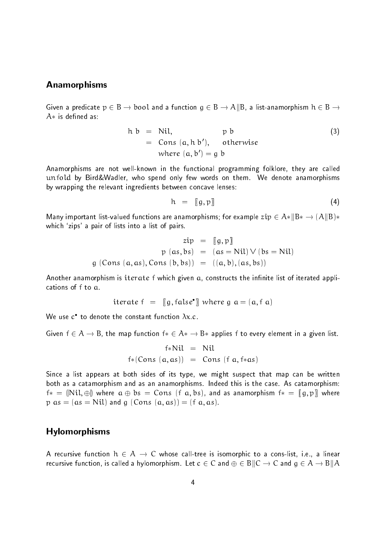#### Anamorphisms

Given a predicate  $p \in B \to \text{bool}$  and a function  $g \in B \to A||B$ , a list-anamorphism  $h \in B \to$ 

$$
h b = Nil, \t p b
$$
\n
$$
= Cons (a, h b'), \t otherwise
$$
\n
$$
where (a, b') = g b
$$
\n(3)

Anamorphisms are not well-known in the functional programming folklore, they are called unfold by BirdWadler who spend only few words only few words on the material and themby wrapping the relevant ingredients between concave lenses

$$
h = [g, p] \tag{4}
$$

Many important listvalued functions are anamorphisms for example zip <sup>A</sup>-kB- AkBwhich zips a pair of lists into a list of pairs-

$$
zip = [[g, p]]
$$
  
\n
$$
p (as, bs) = (as = Nil) \vee (bs = Nil)
$$
  
\n
$$
g (Cons (a, as), Cons (b, bs)) = ((a, b), (as, bs))
$$

Another anamorphism is iterate f which given  $a<sub>i</sub>$  constructs the infinite list of iterated applications of <sup>f</sup> to a-

$$
iterate f = [g, false^{\bullet}] where g a = (a, fa)
$$

we use  $\mathcal C$  to denote the constant function  $\Lambda x.c.$ 

Given f  $\subset$   $\prime$   $\cdot$  for  $\sim$  function fraction fraction fraction  $\sim$   $\sim$   $\prime$  for applies free every element in a given list.

$$
f * Nil = Nil
$$
  

$$
f * (Cons (a, as)) = Cons (f a, f * as)
$$

Since a list appears at both sides of its type, we might suspect that map can be written both as a catamorphism and as an anamorphisms- Indeed this is the case- As catamorphism  $\mathsf{f}*= \langle \mathsf{Nil}, \oplus \rangle$  where  $\mathfrak{a} \oplus \mathfrak{b} \mathfrak{s}=\mathsf{Cons}$   $(\mathfrak{f} \ \mathfrak{a},\mathfrak{b} \mathfrak{s}),$  and as anamorphism  $\mathfrak{f}*= \langle \mathfrak{g},\mathfrak{p}\rangle$  where  $p = mc$  -  $1$  and  $c = 1$  and  $c = 0$  and  $c = 0$  as  $c = 0$  as  $c = 0$  as  $c = 0$  and  $c = 0$  and  $c = 0$ 

## Hylomorphisms

A recursive function <sup>h</sup> <sup>A</sup> <sup>C</sup> whose calltree is isomorphic to a conslist i-e- a linear recursive function, is called a hylomorphism-Let  $v \in \mathcal{C}$  and  $\psi \in B$   $\vert \vert \psi \vert$  and  $\eta \in \mathcal{C}$  and  $\eta \in \mathcal{C}$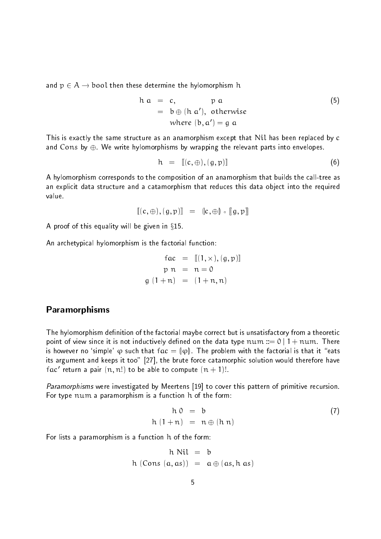and  $p \in A \rightarrow$  bool then these determine the hylomorphism h

$$
h a = c, \t p a
$$
\n
$$
= b \oplus (h a'), \text{ otherwise}
$$
\n
$$
\text{where } (b, a') = g a
$$
\n
$$
(5)
$$

This is exactly the same structure as an anamorphism except that Nil has been replaced by <sup>c</sup> and Cons by -We write hylomorphisms by wrapping the relevant parts into envelopes-

$$
h = [[c, \oplus), (g, p)]] \tag{6}
$$

A hylomorphism corresponds to the composition of an anamorphism that builds the call-tree as an explicit data structure and a catamorphism that reduces this data object into the required value.

$$
\llbracket (c, \oplus), (g, p) \rrbracket = \llbracket c, \oplus \rrbracket \circ \llbracket g, p \rrbracket
$$

A proof of this equality will be given in  $§15$ .

An archetypical hylomorphism is the factorial function

$$
fac = [[1, x), (g, p)]]
$$
  
\n
$$
pn = n = 0
$$
  
\n
$$
g(1+n) = (1+n, n)
$$

#### Paramorphisms

The hylomorphism definition of the factorial maybe correct but is unsatisfactory from a theoretic point of view since it is not inductively defined on the data type  $\mathfrak{num} ::= 0 \mid 1 + \mathfrak{num}$  . There is however no 'simple'  $\varphi$  such that  $\textsf{fac} = \lVert \varphi \rVert$ . The problem with the factorial is that it "eats its argument and keeps it too" [27], the brute force catamorphic solution would therefore have Fac-Teturn a pair  $(n, n)$  to be able to compute  $(n + 1)$ .

Paramorphisms were investigated by Meertens [19] to cover this pattern of primitive recursion. For type num a paramorphism is a function <sup>h</sup> of the form

$$
h \ 0 = b \tag{7}
$$
\n
$$
h \ (1+n) = n \oplus (h \ n)
$$

For lists a paramorphism is a function h of the form:

$$
h \text{ Nil} = b
$$
  

$$
h \text{ (Cons } (a, as)) = a \oplus (as, h as)
$$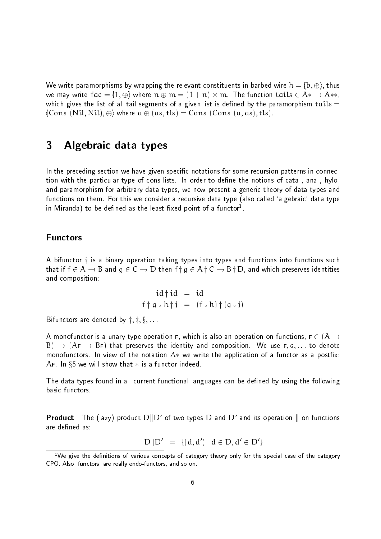we write paramorphisms by wrapping the relevant constituents in barbed wire  $\alpha$  -p  $\left(\frac{1}{2}\right)$  thus  $\mathbf{v}$  in a series factor for  $\mathbf{v}$  and  $\mathbf{v}$  is a series of  $\mathbf{v}$  in the function tails  $\mathbf{v}$  and  $\mathbf{v}$ which gives the list of all tail segments of a given list is defined by the paramorphism tails  $=$  $\mathcal{L}$  . The state is the state and  $\mathcal{L}$  and  $\mathcal{L}$  as  $\mathcal{L}$  as  $\mathcal{L}$  . The state is the state in the state in the state is the state in the state in the state is the state in the state in the state in the s

#### 3 Algebraic data types

In the preceding section we have given specific notations for some recursion patterns in connection with the particular type of conslists- In order to dene the notions of cata ana hylo and paramorphism for arbitrary data types, we now present a generic theory of data types and functions on them- For this we consider a recursive data type also called algebraic data type in iviiranda) to be defined as the least fixed point of a functor .

### **Functors**

A bifunctor  $\dagger$  is a binary operation taking types into types and functions into functions such that if  $f \in A \to B$  and  $g \in C \to D$  then  $f \nmid g \in A \nmid C \to B \nmid D$ , and which preserves identities and composition

$$
id \dagger id = id
$$
  

$$
f \dagger g \circ h \dagger j = (f \circ h) \dagger (g \circ j)
$$

Bifunctors are denoted by  $\dagger$ ,  $\dagger$ ,  $\S$ , ...

A monofunctor is a unary type operation F, which is also an operation on functions,  $F \in (A \rightarrow$ af Af Bf that preserves the identity and composition- in the international compositionmonofunctors- In view of the notation A- we write the application of a functor as a postx AF- In x we will show that - isa functor indeed-

The data types found in all current functional languages can be defined by using the following basic functors.

**Product** The (BZY) product  $D||D$  of two types  $D$  and  $D$  and its operation  $||$  on functions are defined as:

$$
D||D' = \{(d, d') \mid d \in D, d' \in D'\}
$$

<sup>&</sup>lt;sup>1</sup>We give the definitions of various concepts of category theory only for the special case of the category also functions are really end to construct and so only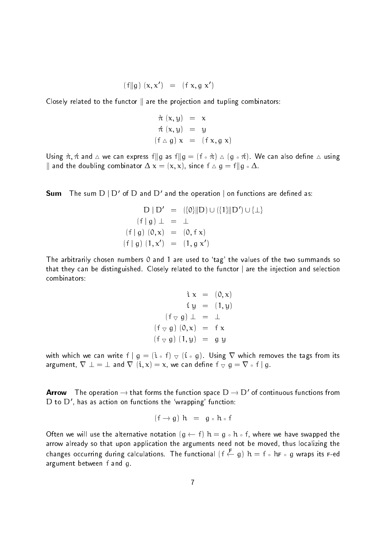$$
(\mathsf{f} \Vert \mathsf{g}) \ (\mathsf{x}, \mathsf{x}') \ = \ (\mathsf{f} \ \mathsf{x}, \mathsf{g} \ \mathsf{x}')
$$

Closely related to the functor  $\parallel$  are the projection and tupling combinators:

$$
\dot{\pi}(x, y) = x
$$
  
\n
$$
\dot{\pi}(x, y) = y
$$
  
\n
$$
(f \triangle g) x = (f x, g x)
$$

Using  $\alpha$ , if and  $\alpha$  is can express figure in  $\alpha$  , if  $\alpha$  is  $\alpha$  is an also denote a dening  $\mu$  and the doubling combinator  $\Delta$  iversity childer  $\Delta$  of  $\mu$  in  $\alpha$  -  $\Delta$ 

 $\mathsf{Sum} \quad \mathsf{The} \, \mathsf{sum} \, \mathsf{D} \, | \, \mathsf{D}' \, \mathsf{of} \, \mathsf{D}$  and  $\mathsf{D}' \, \mathsf{and} \, \mathsf{the} \, \mathsf{operation} \, | \, \mathsf{on} \, \mathsf{function} \, \mathsf{s} \, \mathsf{are} \, \mathsf{defined} \, \mathsf{as} \mathsf{:}$ 

$$
D | D' = (\{0\} || D) \cup (\{1\} || D') \cup \{\perp\}
$$
  
(f | g)  $\perp = \perp$   
(f | g) (0, x) = (0, f x)  
(f | g) (1, x') = (1, g x')

The arbitrarily chosen numbers and are used to tag the values of the two summands so that they can be distinguished. Closely related to the functor  $\mid$  are the injection and selection combinators

$$
\begin{array}{rcl}\ni x & = & (0, x) \\
& i y & = & (1, y) \\
\text{(f } \triangledown g) \perp & = & \perp \\
\text{(f } \triangledown g) \ (0, x) & = & f x \\
\text{(f } \triangledown g) \ (1, y) & = & g y\n\end{array}
$$

with which we can write  $f \mid g = (\mathfrak{i} \circ f) \bigtriangledown (\mathfrak{i} \circ g)$ . Using  $\nabla$  which removes the tags from its argument,  $\nabla \perp = \perp$  and  $\nabla \,\, (\mathfrak{i},\mathfrak{x})=\mathfrak{x}$ , we can define  $\mathfrak{f}\, \triangledown\, g=\nabla\, \circ\, \mathfrak{f}\mid g$ .

Arrow The operation  $\to$  that forms the function space  $D\to D^-$  of continuous functions from  $D$  to  $D$  , has as action on functions the wrapping Tunction:

$$
(\mathsf{f} \to \mathsf{g}) \mathsf{h} = \mathsf{g} \circ \mathsf{h} \circ \mathsf{f}
$$

Often we will use the alternative notation g f <sup>h</sup> - <sup>g</sup> <sup>h</sup> f where we have swapped the arrow already so that upon application the arguments need not be moved, thus localizing the changes occurring during calculations. The functional  $|$  f  $\leftarrow$  q)  $|$  h  $=$  f  $\circ$  fiF  $\circ$  q wraps its F-ed argument between f and g.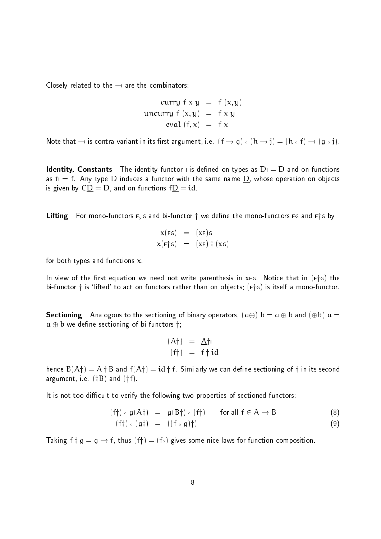Closely related to the  $\rightarrow$  are the combinators:

$$
curry f x y = f (x, y)
$$
  
uncurray f (x, y) = f x y  
eval (f, x) = f x

note that is contravariant in its relativity in the start is related to the first in the first contract of the

Identity- Constants The identity functor <sup>I</sup> is dened on types as <sup>D</sup><sup>I</sup> - <sup>D</sup> and on functions as <sup>f</sup><sup>I</sup> - f- Any type <sup>D</sup> induces a functor with the same name D whose operation on objects is given by CD - D and on functions fD - id-

Lifting For mono-functors  $F$ , G and bi-functor  $\dagger$  we define the mono-functors FG and F $\dagger$ G by

$$
\begin{array}{rcl}\n\mathbf{x}(\mathsf{FG}) & = & (\mathsf{xF})\mathsf{G} \\
\mathbf{x}(\mathsf{F} \mathsf{f} \mathsf{G}) & = & (\mathsf{xF}) \mathsf{f} \ (\mathsf{xc})\n\end{array}
$$

for both types and functions  $x$ .

In view of the rst equation we need not write parenthesis in xFG- Notice that in FyG the bifunctor <sup>y</sup> is lifted to act on functors rather than on objects FyG is itself a monofunctor-

Sectioning Analogous to the sectioning of binary operators a <sup>b</sup> - <sup>a</sup> <sup>b</sup> and b <sup>a</sup>  $a \oplus b$  we define sectioning of bi-functors  $\dagger$ ;

$$
\begin{array}{rcl} (A\dagger) & = & \underline{A}\dagger\mathsf{I} \\ (f\dagger) & = & f\dagger\mathsf{id} \end{array}
$$

 $\mathbf{u}$  is a grad farmer in the fact of  $\mathbf{v}$  and  $\mathbf{v}$  in the second of  $\mathbf{v}$  in its second of  $\mathbf{v}$ e-e-contract i-mand-contract i-mand-contract i-mand-contract i-mand-contract i-mand-contract i-mand-contract i-

It is not too difficult to verify the following two properties of sectioned functors:

$$
(f\dagger) \circ g(A\dagger) = g(B\dagger) \circ (f\dagger) \qquad \text{for all } f \in A \to B \tag{8}
$$

$$
(f\dagger) \circ (g\dagger) = ((f \circ g)\dagger) \tag{9}
$$

Taking <sup>f</sup> <sup>y</sup> <sup>g</sup> - <sup>g</sup> fthus fy-f gives some nice laws for function composition-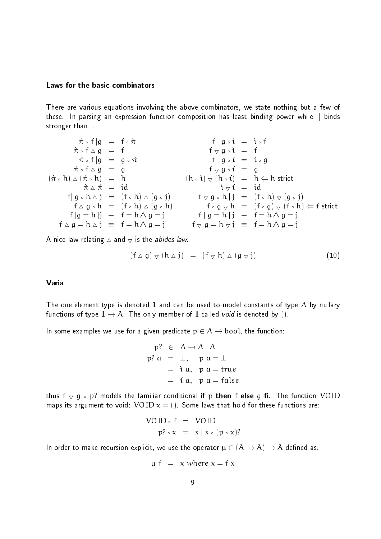#### Laws for the basic combinators

There are various equations involving the above combinators, we state nothing but a few of these- In parsing an expression function composition has least binding power while <sup>k</sup> binds stronger than  $\vert$ .

$$
\begin{array}{rcl}\n\hline\n\dot{\pi} \circ f \|g = f \circ \dot{\pi} & f |g \circ \dot{\tau} = \dot{\tau} \circ f \\
\hline\n\dot{\pi} \circ f \triangle g = f & f \circ g \circ \dot{\tau} = f \\
\hline\n\dot{\pi} \circ f |g = g \circ \dot{\pi} & f |g \circ \dot{\tau} = f \circ g \\
(\dot{\pi} \circ h) \triangle (\dot{\pi} \circ h) = h & (h \circ \dot{\tau}) \nabla (h \circ \dot{\tau}) = h \Leftrightarrow h \text{ strict} \\
\hline\n\dot{\pi} \triangle \dot{\pi} = id & \dot{\tau} \nabla \dot{\tau} = id \\
\hline\n\dot{\pi} \triangle \dot{\pi} = (f \circ h) \triangle (g \circ j) & f \circ g \circ h | j = (f \circ h) \nabla (g \circ j) \\
f \triangle g \circ h = (f \circ h) \triangle (g \circ h) & f \circ g \nabla h = (f \circ g) \nabla (f \circ h) \Leftrightarrow f \text{ strict} \\
f \|g = h \| j = f = h \triangle g = j & f | g = h | j = f = h \triangle g = j \\
f \triangle g = h \triangle j = f = h \triangle g = j & f \nabla g = h \nabla j = f = h \triangle g = j\n\end{array}
$$

A nice law relating  $\triangle$  and  $\triangledown$  is the *abides law*.

$$
(f \triangle g) \triangle (h \triangle j) = (f \triangle h) \triangle (g \triangle j)
$$
 (10)

#### Varia

The one element type is denoted 1 and can be used to model constants of type  $A$  by nullary functions of type A- The only member of called void isdenoted by -

In some examples we use for a given predicate  $p \in A \rightarrow \text{bool}$ , the function:

$$
p? \in A \rightarrow A | A
$$
  

$$
p? a = \perp, \quad p a = \perp
$$
  

$$
= \lambda a, \quad p a = true
$$
  

$$
= \lambda a, \quad p a = false
$$

thus <sup>f</sup> <sup>g</sup> <sup>p</sup> models the familiar conditional if <sup>p</sup> then <sup>f</sup> else <sup>g</sup> - The function VOID maps its argument to void VOID x - - Some laws that hold for these functions are

$$
VOID \circ f = VOID
$$
  

$$
p? \circ x = x | x \circ (p \circ x)?
$$

In order to make recursion explicit, we use the operator  $\mu \in (A \to A) \to A$  defined as:

$$
\mu f = x
$$
 where  $x = f x$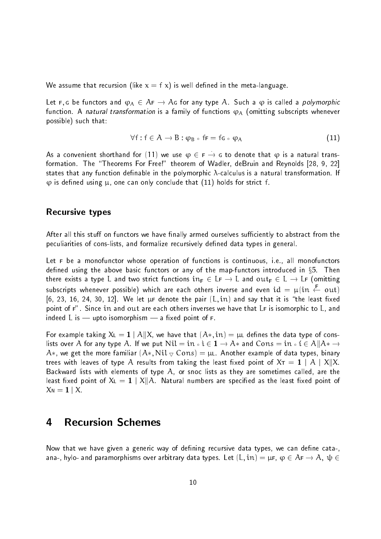we assume that recursion like  $\alpha$  - is well denote the metalanguage-

the function and  $\mathbb{F}/V$  is called a polymorphic and  $\mathbb{F}/V$  and  $\mathbb{F}/V$  are constant any polymorphic and function- <sup>A</sup> natural transformation isa family of functions A omitting subscripts whenever  $posible)$  such that:

$$
\forall f: f \in A \to B: \varphi_B \circ f_F = f_G \circ \varphi_A \tag{11}
$$

As a convenient shorthand for <code>(III</code>) we use  $\phi\,\in\,\texttt{F}\,\rightarrow\,\texttt{G}$  to denote that  $\phi$  is a natural transformation- The Theorems For Free! theorem of Wadler deBruin and Reynolds states that any function denable in the polymorphic calculus is a natural transformation- If  $\varphi$  is defined using  $\mu$ , one can only conclude that (11) holds for strict f.

#### Recursive types

After all this stuff on functors we have finally armed ourselves sufficiently to abstract from the peculiarities of cons-lists, and formalize recursively defined data types in general.

Let <sup>F</sup> be a monofunctor whose operation of functions is continuous i-e- all monofunctors dened using the above basic functors or any of the mapfunctors introduced in x- Then there exists a type L and two strict functions  $in_F \in L_F \to L$  and  $out_F \in L \to L_F$  (omitting subscripts whenever possible) which are each others inverse and even  $\mathrm{id}\,=\,\mu(\mathfrak{m}\,\leftarrow\, \mathfrak{out})$ , we have the pair  $\alpha$  denote the pair and say the pair  $\alpha$  is the least  $\alpha$  in and say that  $\alpha$ point of F- Since in and out are each others inverses we have that LF is isomorphic to L and indeed L is  $-$  upto isomorphism  $-$  a fixed point of  $F$ .

For example taking  $X$ L  $= {\bf 1} \mid {\rm A} \Vert X$ , we have that  $({\rm A*}, {\rm in}) = \mu$ L defines the data type of conslists over A-for any type A-for any put A-for any type A-formation and Constanting and Constanting and Constant  $\alpha$  , and get the more familiar  $\alpha$  ,  $\alpha$  ,  $\alpha$  ,  $\alpha$  ,  $\alpha$  ,  $\alpha$  ,  $\alpha$  ,  $\alpha$  ,  $\alpha$  ,  $\alpha$  ,  $\alpha$  ,  $\alpha$  ,  $\alpha$  ,  $\alpha$  ,  $\alpha$  ,  $\alpha$  ,  $\alpha$  ,  $\alpha$  ,  $\alpha$  ,  $\alpha$  ,  $\alpha$  ,  $\alpha$  ,  $\alpha$  ,  $\alpha$  ,  $\alpha$  ,  $\alpha$  ,  $\alpha$  , trees with leaves of type  $\mathcal A$  results from taking the least fixed point of  $\mathsf{X}\tau = \mathbf{1} \mid \mathcal A \mid \mathsf X\|\mathsf X$ Backward lists with elements of type  $A$ , or snoc lists as they are sometimes called, are the least fixed point of  $\mathsf{X}_\mathsf{L} = \mathbf{1} \mid \mathsf{X} \|\mathsf{A}$ . Natural numbers are specified as the least fixed point of  $X_{\mathsf{N}} = \mathbf{1} \mid X$ 

## 4

Now that we have given a generic way of defining recursive data types, we can define cata-, ana jinyi oʻana paramorphisms over arbitrary aata typesi. Let  $\{v_i v_j - \mu v_j \mid \psi \in I \}$  in  $i \neq j$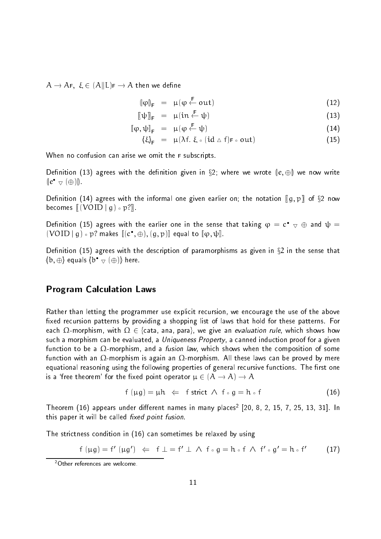$A \rightarrow AF$ ,  $\xi \in (A||L)F \rightarrow A$  then we define

$$
\left\|\varphi\right\|_{\mathsf{F}} = \mu(\varphi \stackrel{\mathsf{F}}{\leftarrow} \text{out}) \tag{12}
$$

$$
[\![\psi]\!]_F = \mu(\text{in} \stackrel{\mathsf{F}}{\leftarrow} \psi) \tag{13}
$$

$$
\llbracket \varphi, \psi \rrbracket_{\mathsf{F}} = \mu(\varphi \stackrel{\mathsf{F}}{\leftarrow} \psi) \tag{14}
$$

$$
\{\xi\}_{F} = \mu(\lambda f. \ \xi \circ (\mathrm{id} \wedge f) \varepsilon \circ \mathrm{out}) \tag{15}
$$

When no confusion can arise we omit the F subscripts.

Definition (13) agrees with the definition given in §2; where we wrote  $\lbrack\! \lbrack e,\oplus\rbrack\! \rbrack$  we now write  $\left\Vert e^{\bullet}\right\Vert_{\nabla}\left( \bigoplus\right) \right\Vert_{\nabla}$ 

Definition (14) agrees with the informal one given earlier on; the notation  $\llbracket (g, p) \rrbracket$  of  $\S 2$  now becomes  $\left[ \left( \text{VOID} \mid g \right) \circ p? \right]$ .

Definition (15) agrees with the earlier one in the sense that taking  $\psi = \mathfrak{c}_-\triangledown \oplus$  and  $\psi =$  $(\text{VOID} \mid g) \circ p?$  makes  $\llbracket (\textbf{c}^{\bullet}, \oplus), (\textbf{g}, p) \rrbracket$  equal to  $\llbracket \phi, \psi \rrbracket$ .

Definition (15) agrees with the description of paramorphisms as given in  $\S$ 2 in the sense that  $\{\mathbf b, \oplus\}$  equals  $\{\mathbf b^\bullet \vee (\oplus)\}$  here.

### Program Calculation Laws

Rather than letting the programmer use explicit recursion we encourage the use of the above xed recursion patterns by providing a shopping list of laws that hold for these patterns- For each  $\Omega$ -morphism, with  $\Omega \in \{$ cata, ana, para}, we give an evaluation rule, which shows how such a morphism can be evaluated, a *Uniqueness Property*, a canned induction proof for a given function to be a  $\Omega$ -morphism, and a *fusion law*, which shows when the composition of some function with an morphism is again an morphism- All these laws can be proved by mere equational reasoning using the following properties of general recursive functions- The rst one is a free theorem for the xed point operator A A <sup>A</sup>

$$
f(\mu g) = \mu h \iff f \text{ strict } \wedge f \circ g = h \circ f \tag{16}
$$

Theorem (10) appears under different names in many places  $|ZU, \delta, Z, 15, 7, Z5, 15, 31|$ . In this paper is paper in the called - this paper is will be called - the called - the called - the called - the c

The strictness condition in  $(16)$  can sometimes be relaxed by using

$$
f(\mu g) = f'(\mu g') \Leftrightarrow f \perp = f' \perp \wedge f \circ g = h \circ f \wedge f' \circ g' = h \circ f' \qquad (17)
$$

<sup>-</sup>Other references are welcome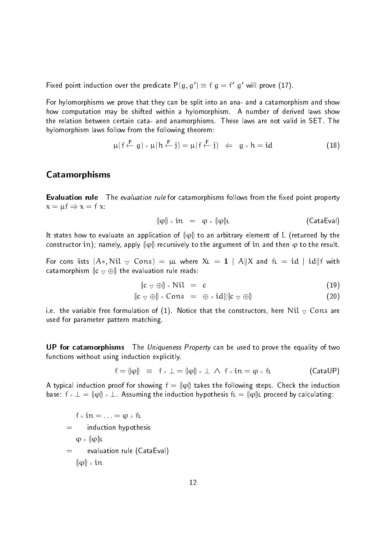Fixed point induction over the predicate  $P(q,q) = 1$   $q = 1$  g-will prove  $(11)$ .

For hylomorphisms we prove that they can be split into an ana- and a catamorphism and show how computation may be shifted within a hylomorphism- A number of derived laws show the relation between certain cata and anamorphisms- These laws are not valid in SET- The hylomorphism laws follow from the following theorem:

$$
\mu(f \stackrel{\mathsf{F}}{\leftarrow} g) \circ \mu(h \stackrel{\mathsf{F}}{\leftarrow} j) = \mu(f \stackrel{\mathsf{F}}{\leftarrow} j) \quad \Leftarrow \quad g \circ h = id \tag{18}
$$

## Catamorphisms

**Evaluation rule** The evaluation rule for catamorphisms follows from the fixed point property <sup>x</sup> - f <sup>x</sup> -f x

$$
\{\varphi\} \circ in = \varphi \circ (\varphi)\iota \qquad \qquad \text{(CataEval)}
$$

It states how to evaluate an application of  $\|\varphi\|$  to an arbitrary element of L (returned by the constructor in); namely, apply  $\|\varphi\|$  recursively to the argument of in and then  $\varphi$  to the result.

For cons lists  $(\mathsf{A}*,\mathsf{Nil}~\triangledown~\mathsf{Cons})~=~\mathsf{\mu}$ L where  $\mathsf{XL}~=~\mathbf{1}~\mid~\mathsf{A}\| \mathsf{X}$  and  $\mathsf{fL}~=~\mathsf{id}~\mid~\mathsf{id} \| \mathsf{f}$  with catamorphism  $\|c \nabla \oplus \|$  the evaluation rule reads:

$$
\|c \vee \oplus\| \circ \text{Nil} = c \tag{19}
$$

$$
\|c \vee \oplus\| \circ \text{Cons} = \oplus \circ id \|\|c \vee \oplus\| \tag{20}
$$

i-the variable free formulation of  $\mathbf W$ used for parameter pattern matching-

UP for catamorphisms The Uniqueness Property can be used to prove the equality of two functions without using induction explicitly.

$$
f = (\hspace{-1pt}[\phi] \hspace{2pt}]\equiv\hspace{2pt} f \,\circ\, \bot = (\hspace{-1pt}[\phi] \hspace{2pt}]\circ\, \bot \hspace{2pt} \wedge \hspace{2pt} f \,\circ\, in = \phi \,\circ\, f \hspace{2pt} \bot \hspace{2pt} (\mathsf{Cat}\mathsf{aUP})
$$

A typical induction proof for showing  $\mathsf{f} = \llbracket \phi \rrbracket$  takes the following steps. Check the induction base: <code>f</code>  $\circ$  <code> $\bot = \P$  $\phi$ </code>  $\circ$  <code> $\bot$  . Assuming the induction hypothesis f<code>L</code>  $=$   $\P$  $\phi$ ]<code>L</code> proceed by calculating:</code>

 $\epsilon =$  induction hypothesis  $\mathbf{r}$  -  $\mathbf{r}$  ,  $\mathbf{r}$  ,  $\mathbf{r}$  ,  $\mathbf{r}$  $\varphi \circ (\varphi)$ L evaluation rule (CataEval)  $=$  $\left\Vert \varphi\right\Vert \circ$  in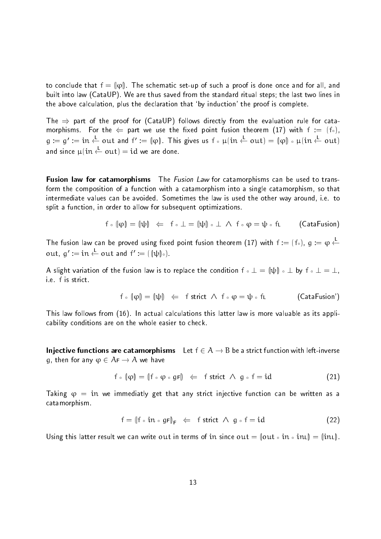to conclude that  $\mathsf{f} = \llbracket \phi \rrbracket$ . The schematic set-up of such a proof is done once and for all, and built into law ( state fig. ) is the standard from the standard ritual steps ( the last the lines in the above calculation plus the declaration that by induction the proof is complete-

The  $\Rightarrow$  part of the proof for (CataUP) follows directly from the evaluation rule for catamorphisms-be-contracted point fusion that the second point fusion the second point fusion that is a second point f  $\mathfrak{g}:=\mathfrak{g}':=\mathfrak{in}\leftarrow \mathfrak{out}$  and  $\mathfrak{f}':=\|\mathfrak{\phi}\|$  . This gives us  $\mathfrak{f}\circ \mathfrak{\mu}(\mathfrak{in}\leftarrow \mathfrak{out})=\|\mathfrak{\phi}\|\circ \mathfrak{\mu}(\mathfrak{in}\leftarrow \mathfrak{out})$ and since  $\mu$   $\uparrow$   $\uparrow$   $\uparrow$   $\uparrow$   $\uparrow$   $\uparrow$   $\uparrow$   $\uparrow$   $\uparrow$   $\uparrow$   $\uparrow$   $\uparrow$   $\uparrow$   $\uparrow$   $\uparrow$   $\uparrow$   $\uparrow$   $\uparrow$   $\uparrow$   $\uparrow$   $\uparrow$   $\uparrow$   $\uparrow$   $\uparrow$   $\uparrow$   $\uparrow$   $\uparrow$   $\uparrow$   $\uparrow$   $\uparrow$   $\uparrow$   $\uparrow$   $\uparrow$   $\uparrow$   $\$ 

**Fusion law for catamorphisms** The *Fusion Law* for catamorphisms can be used to transform the composition of a function with a catamorphism into a single catamorphism, so that intermediate values the avoided-sometimes the law is used the some the other way articles to the other way aro split a function, in order to allow for subsequent optimizations.

$$
f \circ (\phi) = (\psi) \iff f \circ \bot = (\psi) \circ \bot \land f \circ \phi = \psi \circ f \bot
$$
 (CataFusion)

The fusion law can be proved using fixed point fusion theorem (17) with  $t := (t_0)$ ,  $g := \varphi \leftarrow$ out,  $g' := in \leftarrow$  out and  $f' := (\|\psi\|_{\circ})$ .

A slight variation of the fusion law is to replace the condition  $\mathsf{f} \circ \bot = (\! \mathsf{t} \psi \! \mathsf{t}) \circ \bot$  by  $\mathsf{f} \circ \bot = \bot,$ 

$$
f \circ \llbracket \phi \rrbracket = \llbracket \psi \rrbracket \iff \text{strict } \wedge \text{ } f \circ \phi = \psi \circ f \text{!} \tag{\text{CataFusion}'}
$$

This law follows from - In actual calculations this latter law is more valuable as its appli cability conditions are on the whole easier to check-

Injective functions are catamorphisms Let  $f \in A \rightarrow B$  be a strict function with left-inverse g, then for any  $\varphi \in A_F \to A$  we have

$$
f \circ \|\varphi\| = \|f \circ \varphi \circ gF\| \iff f \text{ strict } \wedge g \circ f = id \tag{21}
$$

Taking - in we immediatly get that any strict injective function can be written as a catamorphism-

$$
f = (\text{If } \circ \text{ in } \circ \text{ gF})_F \leftarrow f \text{ strict } \wedge g \circ f = id
$$
 (22)

Using this latter result we can write out in terms of in since  $\text{out} = \|\text{out} \circ \text{in} \cdot \|$   $= \|\text{in} \cdot \|$ .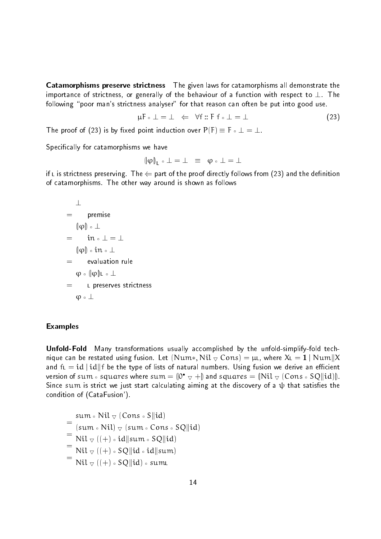Catamorphisms preserve strictness The given laws for catamorphisms all demonstrate the importance of strictness or generally of the behaviour of a function with respect to - The following "poor man's strictness analyser" for that reason can often be put into good use.

$$
\mu \mathsf{F} \circ \bot = \bot \iff \forall \mathsf{f} :: \mathsf{F} \mathsf{f} \circ \bot = \bot \tag{23}
$$

The proof of  $\mathbf{F}$  is by xed point induction over PF is by xed point in determining  $\mathbf{F}$  is a set of  $\mathbf{F}$ 

Specifically for catamorphisms we have

$$
(\phi)_{\mathsf{I}} \circ \mathsf{I} = \mathsf{I} \equiv \phi \circ \mathsf{I} = \mathsf{I}
$$

if L is stricting-preserving-directly part of the proof directly follows from part and the denition of the den of catamorphisms-  $\mathcal{F}_{\mathcal{A}}$  around is shown as follows-  $\mathcal{F}_{\mathcal{A}}$  around is shown as follows:

 premise j
j j
j in j
jL <sup>L</sup> preserves strictness 

#### Examples

Unfold-Fold Many transformations usually accomplished by the unfold-simplify-fold technique can be restated using fusion. Let  $(\text{Num}*, \text{Nil}\mathbin{\vartriangleleft} \text{Cons}) = \mu$ l, where  $\text{XL} = \textbf{1} \mid \text{Num} \mathbin{\text{IX}}$ and  $\operatorname{\sf ft}=\operatorname{id}\mid\operatorname{id}\parallel\operatorname{\sf f}$  be the type of lists of natural numbers. Using fusion we derive an efficient version of sum  $\circ$  squares where sum  $=$   $\|\mathbb{O}^\bullet\>_{\nabla}+ \mathbb{J}$  and squares  $=$   $\|\mathrm{Nil}\>_{\nabla}$  (Cons  $\circ$  SQ $\|\mathrm{id}\|$ ). Since sum is strict we just start calculating aiming at the discovery of a  $\psi$  that satisfies the condition of (CataFusion').

sum Nil Cons Skid  $(\mathsf{sum} \circ \mathsf{Nil}) \triangledown (\mathsf{sum} \circ \mathsf{Cons} \circ \mathsf{SO}||\mathsf{id})$  $\text{Nil} \triangledown ((+) \circ \text{id} \parallel \text{sum} \circ \text{SQL} \cdot \text{id})$  $\text{Nil} \triangledown ((+) \circ \text{SO}||\text{id} \circ \text{id}||\text{sum})$  $\mathrm{Nil} \triangledown ((\pm) \circ \mathrm{SO} \parallel \mathrm{id}) \circ \mathrm{sum}$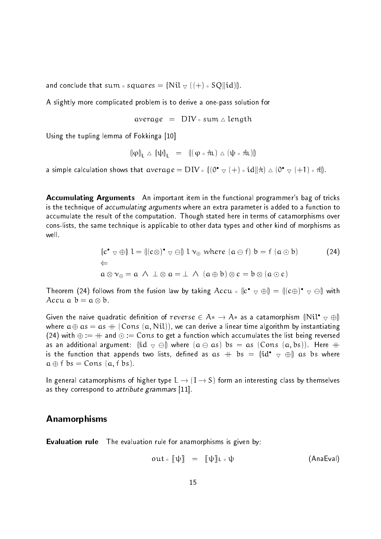and conclude that sum  $\circ$  squares  $=$   $\left\| \mathrm{Nil}\right. \triangledown\, \left( (+)\circ \mathrm{SQ} \right\| \mathrm{id} \right) \!\!\left\| \right.$ 

A slightly more complicated problem is to derive a one-pass solution for

$$
average = DIV \circ sum \triangle length
$$

Using the tupling lemma of Fokkinga [10]

$$
\|\phi\|_{\mathsf{L}} \vartriangle \|\psi\|_{\mathsf{L}} = \|(\phi \circ \pi_{\mathsf{L}}) \vartriangle (\psi \circ \pi_{\mathsf{L}})\|
$$

a simple calculation shows that  $\mathrm{average} = \mathrm{DIV} \circ \mathbb{I}(\mathsf{O}^\bullet \bigtriangledown (+) \circ \mathrm{id} \| \hat{\pi}) \vartriangle ( \mathsf{O}^\bullet \bigtriangledown (+1) \circ \hat{\pi} \|.$ 

Accumulating Arguments An important item in the functional programmer's bag of tricks is the technique of *accumulating arguments* where an extra parameter is added to a function to accumulate the result of the computation-displacement in terms of catamorphisms over cons-lists, the same technique is applicable to other data types and other kind of morphisms as well

$$
\begin{aligned}\n\langle \mathbf{c}^{\bullet} \rangle \nabla \oplus \mathbf{0} \rangle \mathbf{1} &= \langle \mathbf{c} \otimes \mathbf{c} \rangle^{\bullet} \nabla \ominus \mathbf{0} \rangle \mathbf{1} \mathbf{v}_{\oplus} \text{ where } (\mathbf{a} \ominus \mathbf{f}) \mathbf{b} = \mathbf{f} \ (\mathbf{a} \odot \mathbf{b}) \\
&\Leftarrow \\
\mathbf{a} \otimes \mathbf{v}_{\oplus} &= \mathbf{a} \ \land \ \bot \otimes \mathbf{a} = \bot \ \land \ (\mathbf{a} \oplus \mathbf{b}) \otimes \mathbf{c} = \mathbf{b} \otimes (\mathbf{a} \odot \mathbf{c})\n\end{aligned}
$$
\n(24)

Theorem (24) follows from the fusion law by taking  $Accu \, \circ \, \llbracket c^{\bullet} \, \triangledown \, \oplus \rrbracket = \llbracket (c \oplus)^{\bullet} \, \triangledown \, \ominus \rrbracket$  with Accumulation of the state of the state of the state of the state of the state of the state of the state of the

Given the naive quadratic definition of  $reverse \in A* \to A*$  as a catamorphism  $\mathbb{N}\mathfrak{il}^{\bullet} \triangledown \oplus \mathbb{N}$ where a  $\gamma$  and  $\gamma$  and  $\gamma$  is a linear time algorithm by instantiating and the set of  $\gamma$  $\mathcal{L} = \mathcal{L}$  with  $\mathcal{L}$  , and  $\mathcal{L}$  ,  $\mathcal{L} = \mathcal{L}$  ,  $\mathcal{L} = \mathcal{L}$  and  $\mathcal{L} = \mathcal{L}$  and  $\mathcal{L} = \mathcal{L}$ as an additional argument: <code>(id</code>  $\triangledown$   $\ominus$ ) where  $(\texttt{a} \ominus \texttt{a} \texttt{s})$   $\texttt{b} \texttt{s}$   $=$   $\texttt{a} \texttt{s}$  (Con $\texttt{s}$   $(\texttt{a}, \texttt{b} \texttt{s})$ ). Here  $+$ is the function that appends two lists, defined as  $\text{as}~+~\text{bs}~=~\|\text{id}^{\bullet}~\triangledown~\oplus\|$  as  $\text{bs}$  where as the first construction of  $\mathbb{R}^n$  for  $\mathbb{R}^n$  for  $\mathbb{R}^n$  for  $\mathbb{R}^n$  for  $\mathbb{R}^n$  for  $\mathbb{R}^n$  for  $\mathbb{R}^n$  for  $\mathbb{R}^n$  for  $\mathbb{R}^n$  for  $\mathbb{R}^n$  for  $\mathbb{R}^n$  for  $\mathbb{R}^n$  for  $\mathbb{R}^n$  f

In general catamorphisms of higher type  $L \to (I \to S)$  form an interesting class by themselves as they correspond to *attribute grammars*  $[11]$ .

### Anamorphisms

**Evaluation rule** The evaluation rule for anamorphisms is given by:

$$
out \circ [\![\psi]\!] = [\![\psi]\!] \iota \circ \psi
$$
 (AnaEval)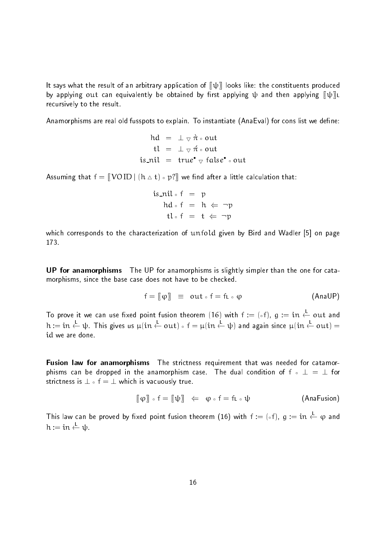It says what the result of an arbitrary application of  $\llbracket \psi \rrbracket$  looks like: the constituents produced by applying out can equivalently be obtained by first applying  $\psi$  and then applying  $\psi\|_L$ recursively to the result

anamorphisms are real old fusion of explain- it instantiate plain- analy for constanting we denote

$$
hd = \bot \triangledown \pi \circ out
$$
  
\n
$$
tl = \bot \triangledown \pi \circ out
$$
  
\n
$$
is\_nil = true^{\bullet} \triangledown false^{\bullet} \circ out
$$

Assuming that  $\mathsf{f} = \llbracket\,\mathsf{VOID}\,\vert\,(\mathsf{h}\vartriangle\mathsf{t})\circ\mathsf{p}? \rrbracket$  we find after a little calculation that:

$$
is\_nil \circ f = p
$$
  
\n
$$
hd \circ f = h \Leftarrow \neg p
$$
  
\n
$$
tl \circ f = t \Leftarrow \neg p
$$

which corresponds to the characterization of unfold given by Bird and Wadler  $[5]$  on page 173

UP for anamorphisms The UP for anamorphisms is slightly simpler than the one for cata morphisms, since the base case does not have to be checked.

$$
f = [(\varphi)] \equiv out \circ f = f_1 \circ \varphi
$$
 (AnaUP)

To prove it we can use fixed point fusion theorem (16) with  $t := (\circ t)$ ,  $g := \tau n \leftarrow \text{out}$  and  ${\mathfrak n}:=\mathfrak m\leftarrow \mathfrak \psi$  . This gives us  $\mu(\mathfrak m\leftarrow \mathfrak{out})$  of  $=\mu(\mathfrak m\leftarrow \mathfrak \psi)$  and again since  $\mu(\mathfrak m\leftarrow \mathfrak{out})=0$ id we are done

Fusion law for anamorphisms The strictness requirement that was needed for catamorphisms can be dropped in the anamorphism case- The dual condition of <sup>f</sup> - for strictless is  $\mathcal{L}_{\mathcal{A}}$  -formulation is true-formulation in the strictless isomorphism in the strictless in

$$
[\![\varphi]\!] \circ f = [\![\psi]\!] \iff \varphi \circ f = f \iota \circ \psi \tag{AnaFusion}
$$

This law can be proved by fixed point fusion theorem (16) with  $t := (\circ t)$ ,  $g := \iota n \leftarrow \varphi$  and <sup>h</sup>  $h := \text{in} \stackrel{\mathsf{L}}{\leftarrow} \psi$ -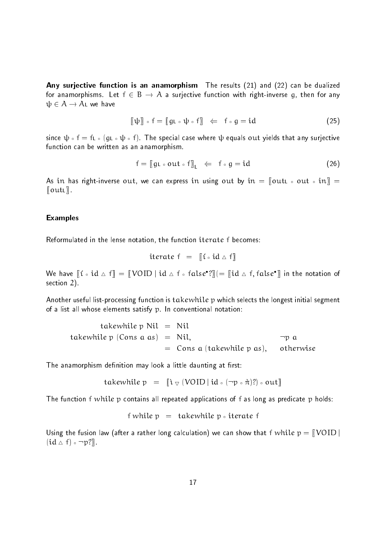Any surjective function is an anamorphism The results  $(21)$  and  $(22)$  can be dualized ... Anamorphisms- with a surjective function with righting give mixture  $\eta_1$  and for any  $\psi \in A \to A$ L we have

$$
[\![\psi]\!] \circ f = [\![g\iota \circ \psi \circ f]\!] \iff f \circ g = id \tag{25}
$$

since a filter in the special case with a special case where  $\alpha$  is a filter  $\alpha$ function can be written as an anamorphism.

$$
f = [gL \circ out \circ f]_L \iff f \circ g = id \tag{26}
$$

as in the right district out, its sense in press in a can express in the case of the contract of the contract o  $\lbrack\!\lbrack \text{outL} \rbrack\!\rbrack$ .

#### Examples

Reformulated in the lense notation, the function iterate f becomes:

$$
iterate f = [(i \circ id \triangle f)]
$$

We have  $\llbracket \mathfrak{t}\circ\mathfrak{id}\vartriangle f\rrbracket=\llbracket\mathsf{VOID}\mid\mathfrak{id}\vartriangle f\circ\mathfrak{false}^\bullet\mathfrak{?}\rrbracket (=\llbracket\mathfrak{id}\vartriangle f,\mathsf{false}^\bullet\rrbracket$  in the notation of section  $2$ )

Another useful list-processing function is takewhile p which selects the longest initial segment of a list all whose elements satisfy p- In conventional notation

\n takewhile 
$$
p \text{ Nil} = \text{Nil}
$$
\n

\n\n takewhile  $p \text{ (Cons a as)} = \text{Nil}, \quad \text{op a} = \text{Cons a (takewhile } p \text{ as)}, \quad \text{otherwise}$ \n

The anamorphism definition may look a little daunting at first:

$$
take while p = [i \triangledown (VOID | id \circ (\neg p \circ \pi)?) \circ out]
$$

The function f while p contains all repeated applications of f as long as predicate p holds:

$$
f
$$
 while  $p =$  takewhile  $p \circ$  iterate  $f$ 

Using the fusion law (after a rather long calculation) we can show that f  $w$ hil $e$   $p = \lceil\!\mid\!\!\!\!\nabla \text{OD} \mid\!\!\!\!\!\nabla$  $[1a \triangle T] \circ \neg p$ :  $\Vert$ .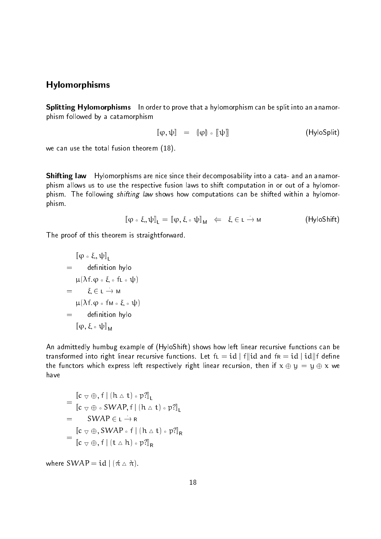#### Hylomorphisms

Splitting Hylomorphisms In order to prove that a hylomorphism can be split into an anamorphism followed by a catamorphism

$$
\llbracket \varphi, \psi \rrbracket = (\llbracket \varphi \rrbracket \circ \llbracket \psi \rrbracket \tag{HyloSplit}
$$

we can use the total fusion theorem  $(18)$ .

**Shifting law** Hylomorphisms are nice since their decomposability into a cata- and an anamorphism allows us to use the respective fusion laws to shift computation in or out of a hylomor phism- The following shifting law shows how computations can be shifted within a hylomor phism-

$$
\llbracket \varphi \circ \xi, \psi \rrbracket_{\mathsf{L}} = \llbracket \varphi, \xi \circ \psi \rrbracket_{\mathsf{M}} \iff \xi \in \mathsf{L} \to \mathsf{M} \tag{\mathsf{HyloShift}}
$$

The proof of this theorem is straightforward.

$$
\begin{aligned}\n&[\phi \circ \xi, \psi]]_L \\
&= \text{ definition } \text{hylo} \\
&[\mu(\lambda f. \phi \circ \xi \circ f \iota \circ \psi)] \\
&= \xi \in \iota \rightarrow M \\
&[\mu(\lambda f. \phi \circ f M \circ \xi \circ \psi)] \\
&= \text{definition } \text{hylo} \\
&[\phi, \xi \circ \psi]]_M\n\end{aligned}
$$

An admittedly humbug example of (HyloShift) shows how left linear recursive functions can be transformed into right linear recursive functions. Let  $\operatorname{\sf fL}=\operatorname{id}\mid \operatorname{\sf f}\parallel \operatorname{id}$  and  $\operatorname{\sf fr}=\operatorname{id}\mid \operatorname{id}\parallel \operatorname{\sf f}$  define the functors which express left respectively right linear recursion then if <sup>x</sup> <sup>y</sup> - <sup>y</sup> <sup>x</sup> we have

$$
= \frac{\left[\mathbf{c} \, \nabla \, \oplus, f \mid (\mathbf{h} \wedge \mathbf{t}) \circ \mathbf{p} \right]_{L}}{\left[\mathbf{c} \, \nabla \, \oplus \, \circ \, \mathbf{SWAP}, f \mid (\mathbf{h} \wedge \mathbf{t}) \circ \mathbf{p} \right]_{L}}
$$
\n
$$
= \frac{\mathbf{SWAP \in L} \rightarrow \mathbf{R}}{\left[\mathbf{c} \, \nabla \, \oplus, \mathbf{SWAP \circ f} \mid (\mathbf{h} \wedge \mathbf{t}) \circ \mathbf{p} \right]_{R}}
$$
\n
$$
= \frac{\left[\mathbf{c} \, \nabla \, \oplus, f \mid (\mathbf{t} \wedge \mathbf{h}) \circ \mathbf{p} \right]_{R}}{\left[\mathbf{c} \, \nabla \, \oplus, f \mid (\mathbf{t} \wedge \mathbf{h}) \circ \mathbf{p} \right]_{R}}
$$

where  $\mathsf{SWAP} = \mathsf{id} \mid (\hat{\pi} \vartriangle \hat{\pi})$  .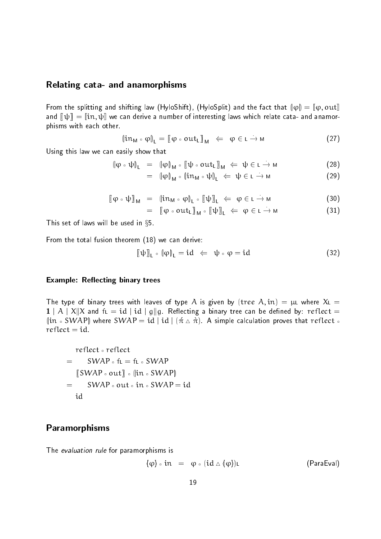#### Relating cata- and anamorphisms

From the splitting and shifting law (HyloShift), (HyloSplit) and the fact that  $\{\|\phi\| = \llbracket \phi, \text{out}\rrbracket$ and dependent and derive a number of interesting laws which relate catalogues which and analogue phisms with each other.

$$
(\mathfrak{lin}_{\mathsf{M}} \circ \varphi)_{\mathsf{L}} = [\varphi \circ \mathsf{out}_{\mathsf{L}}]_{\mathsf{M}} \iff \varphi \in \mathsf{L} \to \mathsf{M} \tag{27}
$$

Using this law we can easily show that

$$
\left\|\varphi \circ \psi\right\|_{L} = \left\|\varphi\right\|_{M} \circ \left[\left(\psi \circ \text{out}_{L}\right)\right]_{M} \Leftarrow \psi \in L \to M \tag{28}
$$

$$
= \left\| \phi \right\|_{M} \circ \left\| \mathrm{in}_{M} \circ \psi \right\|_{L} \iff \psi \in L \to M \tag{29}
$$

$$
[(\varphi \circ \psi)]_{\mathsf{M}} = (\mathsf{in}_{\mathsf{M}} \circ \varphi)_{\mathsf{L}} \circ [\psi]_{\mathsf{L}} \Leftarrow \varphi \in \mathsf{L} \to \mathsf{M}
$$
 (30)

$$
= [(\varphi \circ out_L)]_M \circ [\psi]_L \iff \varphi \in L \to M
$$
 (31)

This set of laws will be used in  $\S 5$ .

From the total fusion theorem  $(18)$  we can derive:

$$
[\![\psi]\!]_l \circ [\![\varphi]\!]_l = id \iff \psi \circ \varphi = id \tag{32}
$$

#### Example: Reflecting binary trees

The type of binary trees with leaves of type A is given by the A in - in - in - in - in - in - in - $1\mid {\rm A}\mid{\rm X}\!\!\mid$ X and f $\mathfrak{t}\!\!\mid$   $=$   $\mathrm{id}\mid \mathrm{id}\mid$  g $\parallel$ g. Reflecting a binary tree can be defined by:  $\mathrm{reflect} =$  $\left\langle\left\vert\mathrm{in}\right\rangle\mathrm{sWAP}\right\rangle$  where  $\mathrm{SWAP}=\mathrm{id}\mid\mathrm{id}\mid(\pi\vartriangle\pi)$  . A simple calculation proves that  $\mathrm{reflect}\circ$ 

reflect . reflect  $\left[\left(\text{SWAP}\circ\text{out}\right)\right]\circ\left[\left(\text{in}\circ\text{SWAP}\right)\right]$  $=$ 

## Paramorphisms

The evaluation rule for paramorphisms is

$$
\{\varphi\} \circ in = \varphi \circ (id \triangle \{\varphi\})_L
$$
 (ParaEval)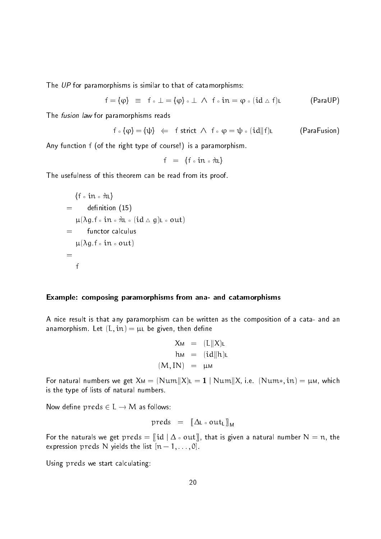The UP for paramorphisms is similar to that of catamorphisms:

$$
f = \{\phi\} \equiv f \circ \bot = \{\phi\} \circ \bot \land f \circ in = \phi \circ (id \wedge f)\iota \tag{ParalUP}
$$

The *fusion law* for paramorphisms reads

$$
\text{$f \circ (\phi) = (\psi)$} \;\; \Leftarrow \;\; f \text{ strict $\wedge$ $f \circ \phi = \psi \circ (\text{id} || f) \text{!}} \qquad \qquad \text{(ParaFusion)}
$$

Any function  $f$  (of the right type of course!) is a paramorphism.

$$
f = \{f \circ in \circ \pi L\}
$$

The usefulness of this theorem can be read from its proof.

$$
\{f \circ in \circ \pi_L\}
$$
\n
$$
= \text{definition (15)}
$$
\n
$$
\mu(\lambda g.f \circ in \circ \pi_L \circ (\text{id} \wedge g)_L \circ out)
$$
\n
$$
= \text{functor calculus}
$$
\n
$$
\mu(\lambda g.f \circ in \circ out)
$$
\n
$$
= \text{f}
$$

#### Example: composing paramorphisms from ana- and catamorphisms

A nice result is that any paramorphism can be written as the composition of a cata- and an anamorphism- aver a property then a property when a control

$$
X_{M} = (L||X)_{L}
$$
  
\n
$$
h_{M} = (id||h)_{L}
$$
  
\n
$$
(M, IN) = \mu_{M}
$$

For natural numbers we get  $X$ м $=$   $(\text{Num} \| X)$ L  $=$   $\mathbf{1} \mid \text{Num} \| X$ , i.e.  $(\text{Num} *, \text{in}) =$   $\mu$ м, which is the type of lists of natural numbers.

Now define preds  $\in L \rightarrow M$  as follows:

$$
\text{preds} = [\![\Delta \iota \circ \text{out}_{L}]\!]_{M}
$$

For the naturals we get  $\text{preds} = \llbracket \text{id} \mid \Delta \circ \text{out} \rrbracket,$  that is given a natural number  $\mathsf{N} = \mathfrak{n},$  the expression preds in preds the list new production of the list number of the list of the list of the list of the

Using preds we start calculating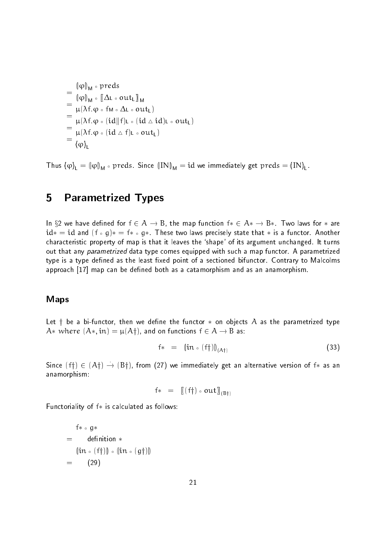$$
= \frac{\phi\|_{M} \circ \text{preds}}{\phi\|_{M} \circ [\Delta L \circ \text{out}_{L}]_{M}}
$$
  
\n
$$
= \frac{\mu(\lambda f. \phi \circ fM \circ \Delta L \circ \text{out}_{L})}{\mu(\lambda f. \phi \circ (id||f)_{L} \circ (id \triangle id)_{L} \circ \text{out}_{L})}
$$
  
\n
$$
= \frac{\mu(\lambda f. \phi \circ (id||f)_{L} \circ (\text{id} \triangle id)_{L} \circ \text{out}_{L})}{\phi\|_{L}}
$$

Thus  $\ket{\phi}_{\mathsf{L}}=\ket{\phi}_{\mathsf{M}}$   $\circ$  preds. Since  $\left(\text{IN}\right)_{\mathsf{M}}=\text{id}$  we immediately get  $\text{preds}=\text{(IN)}_{\mathsf{L}}$  .

# 5 Parametrized Types

In  $\lambda = m$  , for a connection for  $\lambda = m$  ,  $\lambda = m$  , and map function f-  $\lambda = m$  ,  $\lambda = m$  for any formulation for  $\lambda = m$ id-and f g-d-another two laws precisely state that is a functor-definition of the state that is a functor-definition of the state of the state of the state of the state of the state of the state of the state of the state o characteristic property of map is that it leaves the shape of its argument unchanged- it turns out that any parametrized data type comes equipped with such a map functor- A parametrized type is a type dened as the least xed point of a sectioned bifunctor- Contrary to Malcolms approach [17] map can be defined both as a catamorphism and as an anamorphism.

#### Maps

Let <sup>y</sup> be a bifunctor then we dene the functor - on objects <sup>A</sup> as the parametrized type  $\lambda$  . There are a strip and on functions f  $\lambda$  ,  $\lambda$  as a strip and  $\lambda$ 

$$
f* = (\mathsf{lin} \circ (f\dagger))_{(A\dagger)} \tag{33}
$$

Since  $(\dagger\dagger)\in (A\dagger)\rightarrow (B\dagger)$ , from  $(27)$  we immediately get an alternative version of  $\dagger*$  as an anamorphism

$$
f* = [[(f\dagger) \circ out)]_{(B\dagger)}
$$

 $F_{\rm eff}$  is calculated as follows: the function of  $\sim$ 

$$
f * \circ g * \n= definition * \n(in \circ (f\dagger)) \circ (in \circ (g\dagger)) \n= (29)
$$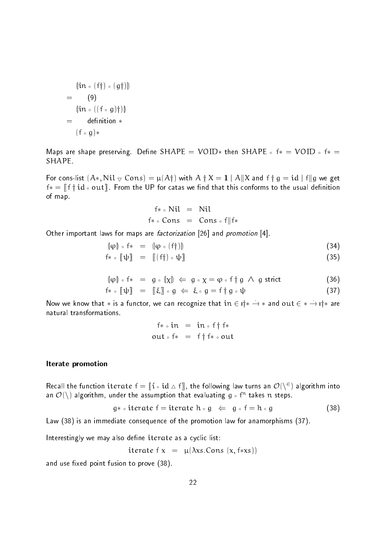$$
(\mathsf{in} \circ (\mathsf{f} \mathsf{f}) \circ (\mathsf{g} \mathsf{f}))
$$
\n
$$
= (9)
$$
\n
$$
(\mathsf{in} \circ ((\mathsf{f} \circ \mathsf{g}) \mathsf{f}))
$$
\n
$$
= \mathsf{definition} * ( \mathsf{f} \circ \mathsf{g} ) *
$$

Maps are shape preserving- Dene SHAPE - VOID- then SHAPE <sup>f</sup>- - VOID f- -SHAPE.

For cons-list  $(A*,\operatorname{Nil}\nabla\operatorname{Cons})=\mu(A\dagger)$  with  $A\dagger X=1\mid A\|X$  and  $\mathfrak{f} \dagger \mathfrak{g}=\operatorname{id}\nolimits\mid \mathfrak{f}\| \mathfrak{g}$  we get f-before the UP for the UP for the UP for the UP for the UP for the UP for the UP for the UP for the UP for th of map-

$$
f * \circ Nil = Nil
$$
  

$$
f * \circ Cons = Cons \circ f || f *
$$

Other important laws for maps are factorization [26] and promotion [4].

$$
\|\varphi\| \circ f* = \|\varphi \circ (f\dagger)\| \tag{34}
$$

$$
f * \circ [\![\psi]\!] = [[(f\uparrow) \circ \psi]\!] \tag{35}
$$

$$
(\phi) \circ f* = g \circ (\chi) \Leftrightarrow g \circ \chi = \phi \circ f \dagger g \wedge g \text{ strict} \tag{36}
$$

$$
f * \circ [\![\psi]\!] = [\![\xi]\!] \circ g \Leftarrow \xi \circ g = f \dagger g \circ \psi \tag{37}
$$

Now we know that  $*$  is a functor, we can recognize that  $\mathfrak{m}\in\mathfrak{i}\mathfrak{i}*\to *$  and  $\text{out}\in *\to\mathfrak{i}\mathfrak{i}*$  are natural transformations-

$$
f * \circ in = in \circ f \dagger f *
$$
  
out \circ f \* = f \dagger f \* \circ out

#### Iterate promotion

Recall the function tterate  $\tau = \|\tau \circ \mathrm{Id} \triangle \tau\|$ , the following law turns an  $O(\sqrt{\tau})$  algorithm into an  $O(\chi)$  algorithm, under the assumption that evaluating  $\mathfrak{g}\circ\iota^+$  takes it steps.

$$
g * \circ \text{iterate } f = \text{iterate } h \circ g \iff g \circ f = h \circ g \tag{38}
$$

Law  $(38)$  is an immediate consequence of the promotion law for anamorphisms  $(37)$ .

Interestingly we may also define iterate as a cyclic list:

$$
iterate f x = \mu(\lambda xs.Cons (x, f*xs))
$$

and use fixed point fusion to prove  $(38)$ .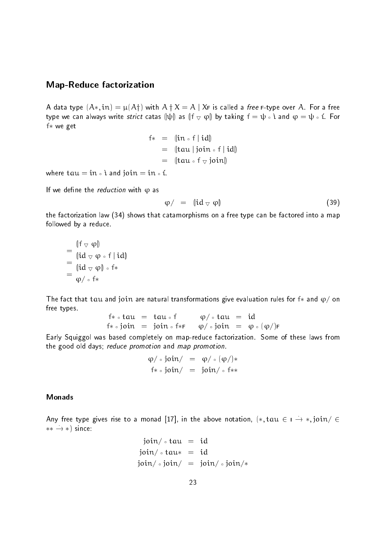#### Map-Reduce factorization

A data type  $(\mathsf{A}*,\mathfrak{in}) = \mu(\mathsf{A}\dagger)$  with  $\mathsf{A} \dagger \mathsf{X} = \mathsf{A} \mid \mathsf{X}$ F is called a *free* F-type over  $\mathsf{A}$  . For a free type we can always write *strict* catas  $\llbracket \psi \rrbracket$  as  $\llbracket \mathsf{f} \bigtriangledown \varphi \rrbracket$  by taking  $\mathsf{f} = \psi \circ \mathsf{i}$  and  $\varphi = \psi \circ \mathsf{i}$ . For f- we get

$$
f* = (\n\begin{bmatrix} \n\text{in} \circ f \mid \text{id} \n\end{bmatrix}\n= (\n\begin{bmatrix} \text{tau} \mid \text{join} \circ f \mid \text{id} \n\end{bmatrix}\n= (\n\begin{bmatrix} \text{tau} \circ f \circ \text{join} \n\end{bmatrix})
$$

where the state of the state of the state of the state of the state of the state of the state of the state of the state of the state of the state of the state of the state of the state of the state of the state of the stat

If we define the *reduction* with  $\varphi$  as

$$
\varphi / = (\mathrm{id} \vee \varphi) \tag{39}
$$

the factorization law  $(34)$  shows that catamorphisms on a free type can be factored into a map followed by a reduce.

$$
=\frac{\mathbb{I}f \vee \varphi}{\mathbb{I}id \vee \varphi \circ f \mid id}
$$
  
=\frac{\mathbb{I}id \vee \varphi}{\mathbb{I}id \vee \varphi} \circ f \*  
=\frac{\varphi}{\varphi} \circ f \*

The fact that tau and join are natural transformations give evaluation rules for f- and on free types.

$$
f * \circ \text{tau} = \text{tau} \circ f
$$
  
\n $f * \circ \text{join} = \text{join} \circ f * F$   
\n $\phi / \circ \text{join} = \phi \circ (\phi /)F$ 

Early Squiggol was based completely on mapreduce factorization- Some of these laws from the good old days; reduce promotion and map promotion.

$$
\varphi / \circ \text{join} / = \varphi / \circ (\varphi /) *
$$
  
f \* \circ \text{join} / = \text{join} / \circ f \*\*

Any free type gives rise to a monad  $|1\ell|$ , in the above notation,  $|*\> ,\> \tau a u \> \in \> \rightarrow * \> ,\> \tt 101n/\> \in$  $\ast\ast\,\longrightarrow\,\ast\,$  since:

$$
join / \circ tau = id
$$
  

$$
join / \circ tau* = id
$$
  

$$
join / \circ join / = join / \circ join/*
$$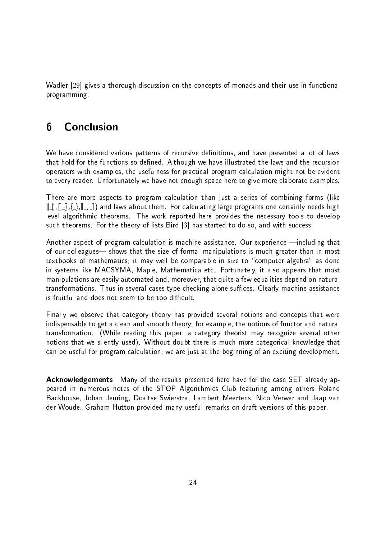Wadler [29] gives a thorough discussion on the concepts of monads and their use in functional programming-

#### Conclusion  $6\phantom{1}6$

We have considered various patterns of recursive definitions, and have presented a lot of laws that hold for the functions so dened- Although we have illustrated the laws and the recursion operators with examples, the usefulness for practical program calculation might not be evident to every reader- Unfortunately we have not enough space here to give more elaborate examples-

There are more aspects to program calculation than just a series of combining forms (like  $([ \_ ] , [ \_ ], [ \_ ], [ \_ , \_ ] )$  and laws about them. For calculating large programs one certainly needs high level algorithmic theorems- The work reported here provides the necessary tools to develop such theorems- For the theory of lists Bird has started to do so and with success-

Another aspect of program calculation ismachine assistance- Our experience including that of our colleagues- shows that the size of formal manipulations is much greater than in most textbooks of mathematics; it may well be comparable in size to "computer algebra" as done in systems like MACSYMA Maple Mathematica etc- Fortunately it also appears that most manipulations are easily automated and, moreover, that quite a few equalities depend on natural transformations- Thus in several cases type checking alone suces- Clearly machine assistance is fruitful and does not seem to be too difficult.

Finally we observe that category theory has provided several notions and concepts that were indispensable to get a clean and smooth theory; for example, the notions of functor and natural transformation- While reading this paper a category theorist may recognize several other notions that we silently used- Without doubt there is much more categorical knowledge that can be useful for program calculation; we are just at the beginning of an exciting development.

**Acknowledgements** Many of the results presented here have for the case SET already appeared in numerous notes of the STOP Algorithmics Club featuring among others Roland Backhouse, Johan Jeuring, Doaitse Swierstra, Lambert Meertens, Nico Verwer and Jaap van der Woude- Graham Hutton provided many useful remarks on draft versions of this paper-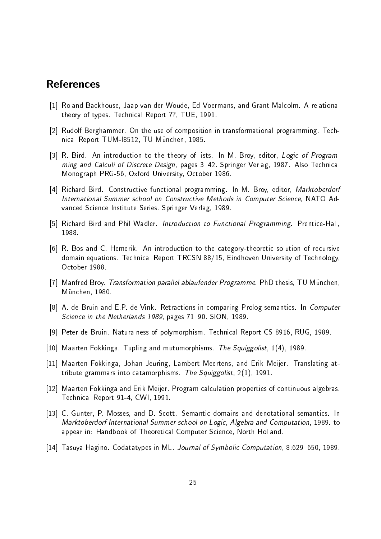# References

- Roland Backhouse Jaap van der Woude Ed Voermans and Grant Malcolm- A relational theory of types-types-types-types-types-types-types-types-types-types-types-types-types-types-types-types-types-
- Rudolf Berghammer- On the use of composition in transformational programming- Tech nical Report TUM-18512, TU München, 1985.
- R- Bird- An introduction to the theory of lists- In M- Broy editor Logic of Program ming and Calculi of Discrete Design pages \$- Springer Verlag - Also Technical Monograph PRG-56, Oxford University, October 1986.
- Richard Bird- Constructive functional programming- In M- Broy editor Marktoberdorf International Summer school on Constructive Methods in Computer Science NATO Ad vanced Science Institute Series- Springer Verlag -
- Richard Bird and PhilWadler- Introduction to Functional Programming- PrenticeHall 1988
- re and and complete the categorythmesis to the categorythmesis of recording the categorythmesis of recording to domain equations-between  $\mathcal{L}$  Eindhoven University of Technical Report Technology of Technology of Technology October 1988
- Manfred Broy- Transformation parallel ablaufender Programme- PhD thesis TU M#unchen München, 1980.
- A- de Bruin and E-P- de Vink- Retractions in comparing Prolog semantics- In Computer  $S$  -sion in the Netherlands in the Netherlands in the Netherlands  $S$  -sion in the Netherlands in the Netherlands in the Netherlands in the Netherlands in the Netherlands in the Netherlands in the Netherlands in the Neth
- Peter de Bruin- Naturalness of polymorphism- Technical Report CS RUG -
- arten Fokkinga-Bookinga-Bookinga-Bookinga-Bookinga-Bookinga-Bookinga-Bookinga-Bookinga-Bookinga-Bookinga-Booki
- Maarten Fokkinga Johan Jeuring Lambert Meertens and Erik Meijer- Translating at tribute grammars into catamorphisms-catamorphisms-catamorphisms-catamorphisms-catamorphisms-catamorphisms-catamorphisms-catamorphisms-catamorphisms-catamorphisms-catamorphisms-catamorphisms-catamorphisms-catamorphisms-cat
- Maarten Fokkinga and Erik Meijer- Program calculation properties of continuous algebras-Technical Report 91-4, CWI, 1991.
- , and D-Mosses and D-Mosses and D-Mosses and D-Mosses and denotes and denotes- and denotes- and denotes and de Marktoberdorf International Summer school on Logic Algebra and Computation - to appear in: Handbook of Theoretical Computer Science, North Holland.
- Tasuya Hagino- Codatatypes in ML- Journal of Symbolic Computation \$ -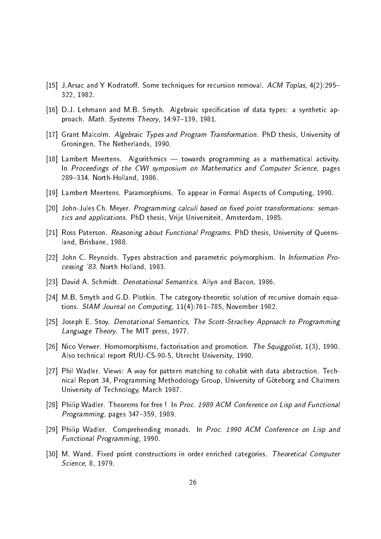- J-Arsac and Y Kodrato- Some techniques for recursion removal- ACM Toplas \$ 322, 1982.
- D-J- Lehmann and M-B- Smyth- Algebraic specication of data types a synthetic ap process Theory International System Theory is a structure of the system of the system of the system of the system of the system of the system of the system of the system of the system of the system of the system of the sys
- Grant Malcolm- Algebraic Types and Program Transformation- PhD thesis University of Groningen, The Netherlands, 1990.
- Lambert Meertens- Algorithmics towards programming as a mathematical activity-In Proceedings of the CWI symposium on Mathematics and Computer Science, pages \$- NorthHolland -
- , and the method meeting appearing the computing  $\alpha$  and  $\alpha$  appears in Formal Aspects of Computing  $\alpha$
- JohnJules Ch- Meyer- Programming calculi based on -xed point transformations seman tics and applications- and and in the University Amsterdam and the University Office
- ross Paterson-Programs-Anny about Functional Programs-Programs-Programs-Programsland, Brisbane, 1988.
- John C- Reynolds- Types abstraction and parametric polymorphism- In Information Pro cessing - North Holland -
- David A- Schmidt- Denotational Semantics- Allyn and Bacon -
- M-B- Smyth and G-D- Plotkin- The categorytheoretic solution of recursive domain equa tions- SIAM Journal on Computing \$ November -
- Joseph E- Stoy- Denotational Semantics The ScottStrachey Approach to Programming Language Theory- The MIT press -
- Nico Verwer- Homomorphisms factorisation and promotion- The Squiggolist -Also technical report RUU-CS-90-5, Utrecht University, 1990.
- Phil Wadler- Views A way for pattern matching to cohabit with data abstraction- Tech nical Report 34, Programming Methodology Group, University of Göteborg and Chalmers University of Technology, March 1987.
- Philip Wadler- Theorems for free ! In Proc ACM Conference on Lisp and Functional Programming, pages 347-359, 1989.
- Philip Wadler- Comprehending monads- In Proc  ACM Conference on Lisp and Functional Programming 1990.
- M- Wand- Fixed point constructions in order enriched categories- Theoretical Computer Science, 8, 1979.